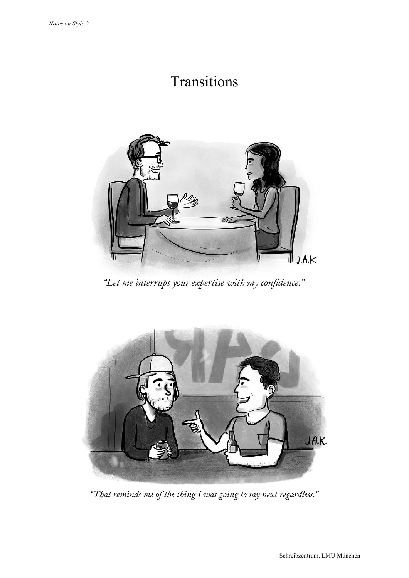# **Transitions**



"Let me interrupt your expertise with my confidence."



"That reminds me of the thing I was going to say next regardless."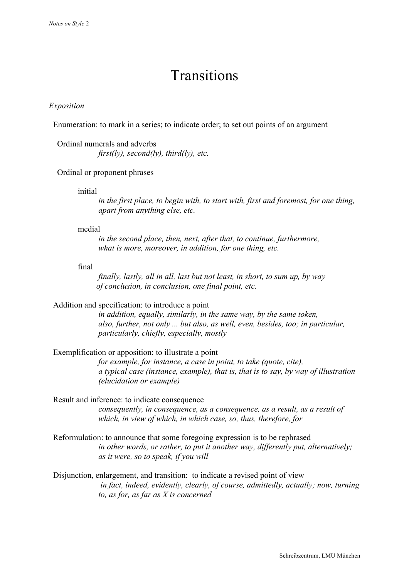## Transitions

#### *Exposition*

Enumeration: to mark in a series; to indicate order; to set out points of an argument

 Ordinal numerals and adverbs *first(ly), second(ly), third(ly), etc.*

#### Ordinal or proponent phrases

#### initial

*in the first place, to begin with, to start with, first and foremost, for one thing, apart from anything else, etc.*

#### medial

 *in the second place, then, next, after that, to continue, furthermore, what is more, moreover, in addition, for one thing, etc.*

#### final

 *finally, lastly, all in all, last but not least, in short, to sum up, by way of conclusion, in conclusion, one final point, etc.*

### Addition and specification: to introduce a point

*in addition, equally, similarly, in the same way, by the same token, also, further, not only ... but also, as well, even, besides, too; in particular, particularly, chiefly, especially, mostly*

#### Exemplification or apposition: to illustrate a point

*for example, for instance, a case in point, to take (quote, cite), a typical case (instance, example), that is, that is to say, by way of illustration (elucidation or example)*

#### Result and inference: to indicate consequence

*consequently, in consequence, as a consequence, as a result, as a result of which, in view of which, in which case, so, thus, therefore, for*

#### Reformulation: to announce that some foregoing expression is to be rephrased *in other words, or rather, to put it another way, differently put, alternatively; as it were, so to speak, if you will*

#### Disjunction, enlargement, and transition: to indicate a revised point of view *in fact, indeed, evidently, clearly, of course, admittedly, actually; now, turning to, as for, as far as X is concerned*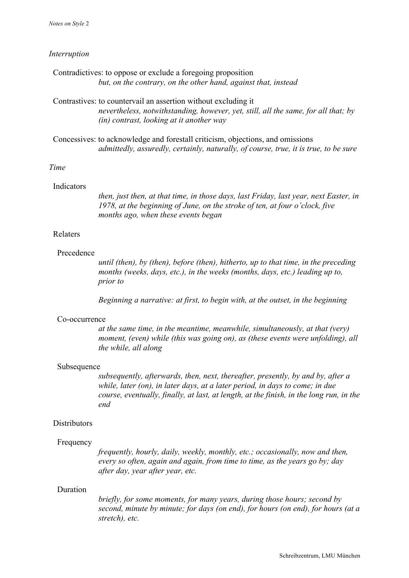### *Interruption*

| Contradictives: to oppose or exclude a foregoing proposition<br>but, on the contrary, on the other hand, against that, instead                                                                   |  |
|--------------------------------------------------------------------------------------------------------------------------------------------------------------------------------------------------|--|
| Contrastives: to countervail an assertion without excluding it<br>nevertheless, notwithstanding, however, yet, still, all the same, for all that; by<br>(in) contrast, looking at it another way |  |
| Concessives: to acknowledge and forestall criticism, objections, and omissions<br>admittedly, assuredly, certainly, naturally, of course, true, it is true, to be sure                           |  |

#### *Time*

### Indicators

*then, just then, at that time, in those days, last Friday, last year, next Easter, in 1978, at the beginning of June, on the stroke of ten, at four o'clock, five months ago, when these events began*

## Relaters

#### Precedence

*until (then), by (then), before (then), hitherto, up to that time, in the preceding months (weeks, days, etc.), in the weeks (months, days, etc.) leading up to, prior to*

*Beginning a narrative: at first, to begin with, at the outset, in the beginning*

## Co-occurrence

*at the same time, in the meantime, meanwhile, simultaneously, at that (very) moment, (even) while (this was going on), as (these events were unfolding), all the while, all along*

#### Subsequence

*subsequently, afterwards, then, next, thereafter, presently, by and by, after a while, later (on), in later days, at a later period, in days to come; in due course, eventually, finally, at last, at length, at the finish, in the long run, in the end*

## Distributors

## Frequency

*frequently, hourly, daily, weekly, monthly, etc.; occasionally, now and then, every so often, again and again, from time to time, as the years go by; day after day, year after year, etc.*

## Duration

*briefly, for some moments, for many years, during those hours; second by second, minute by minute; for days (on end), for hours (on end), for hours (at a stretch), etc.*